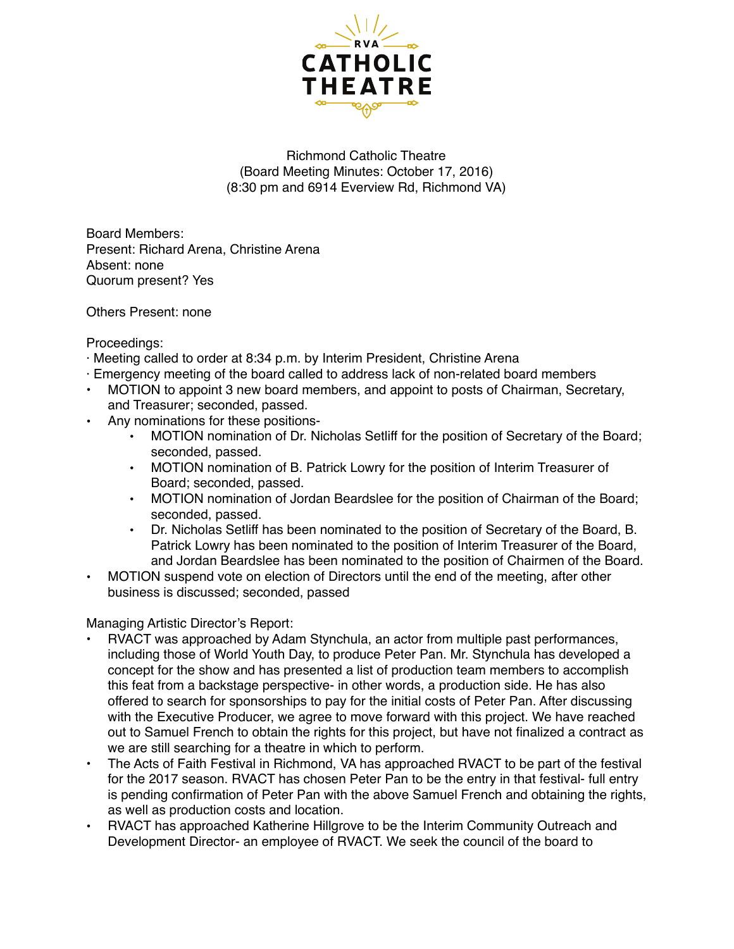

## Richmond Catholic Theatre (Board Meeting Minutes: October 17, 2016) (8:30 pm and 6914 Everview Rd, Richmond VA)

Board Members: Present: Richard Arena, Christine Arena Absent: none Quorum present? Yes

Others Present: none

Proceedings:

- · Meeting called to order at 8:34 p.m. by Interim President, Christine Arena
- · Emergency meeting of the board called to address lack of non-related board members
- MOTION to appoint 3 new board members, and appoint to posts of Chairman, Secretary, and Treasurer; seconded, passed.
- Any nominations for these positions-
	- MOTION nomination of Dr. Nicholas Setliff for the position of Secretary of the Board; seconded, passed.
	- MOTION nomination of B. Patrick Lowry for the position of Interim Treasurer of Board; seconded, passed.
	- MOTION nomination of Jordan Beardslee for the position of Chairman of the Board; seconded, passed.
	- Dr. Nicholas Setliff has been nominated to the position of Secretary of the Board, B. Patrick Lowry has been nominated to the position of Interim Treasurer of the Board, and Jordan Beardslee has been nominated to the position of Chairmen of the Board.
- MOTION suspend vote on election of Directors until the end of the meeting, after other business is discussed; seconded, passed

Managing Artistic Director's Report:

- RVACT was approached by Adam Stynchula, an actor from multiple past performances, including those of World Youth Day, to produce Peter Pan. Mr. Stynchula has developed a concept for the show and has presented a list of production team members to accomplish this feat from a backstage perspective- in other words, a production side. He has also offered to search for sponsorships to pay for the initial costs of Peter Pan. After discussing with the Executive Producer, we agree to move forward with this project. We have reached out to Samuel French to obtain the rights for this project, but have not finalized a contract as we are still searching for a theatre in which to perform.
- The Acts of Faith Festival in Richmond, VA has approached RVACT to be part of the festival for the 2017 season. RVACT has chosen Peter Pan to be the entry in that festival- full entry is pending confirmation of Peter Pan with the above Samuel French and obtaining the rights, as well as production costs and location.
- RVACT has approached Katherine Hillgrove to be the Interim Community Outreach and Development Director- an employee of RVACT. We seek the council of the board to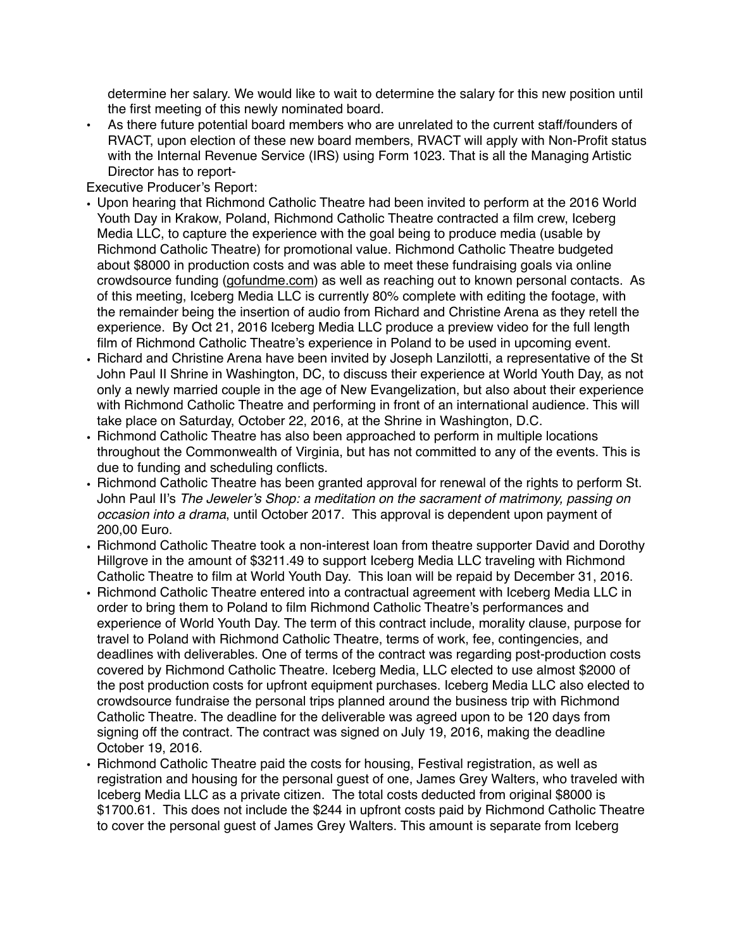determine her salary. We would like to wait to determine the salary for this new position until the first meeting of this newly nominated board.

• As there future potential board members who are unrelated to the current staff/founders of RVACT, upon election of these new board members, RVACT will apply with Non-Profit status with the Internal Revenue Service (IRS) using Form 1023. That is all the Managing Artistic Director has to report-

Executive Producer's Report:

- Upon hearing that Richmond Catholic Theatre had been invited to perform at the 2016 World Youth Day in Krakow, Poland, Richmond Catholic Theatre contracted a film crew, Iceberg Media LLC, to capture the experience with the goal being to produce media (usable by Richmond Catholic Theatre) for promotional value. Richmond Catholic Theatre budgeted about \$8000 in production costs and was able to meet these fundraising goals via online crowdsource funding [\(gofundme.com\)](http://gofundme.com) as well as reaching out to known personal contacts. As of this meeting, Iceberg Media LLC is currently 80% complete with editing the footage, with the remainder being the insertion of audio from Richard and Christine Arena as they retell the experience. By Oct 21, 2016 Iceberg Media LLC produce a preview video for the full length film of Richmond Catholic Theatre's experience in Poland to be used in upcoming event.
- Richard and Christine Arena have been invited by Joseph Lanzilotti, a representative of the St John Paul II Shrine in Washington, DC, to discuss their experience at World Youth Day, as not only a newly married couple in the age of New Evangelization, but also about their experience with Richmond Catholic Theatre and performing in front of an international audience. This will take place on Saturday, October 22, 2016, at the Shrine in Washington, D.C.
- Richmond Catholic Theatre has also been approached to perform in multiple locations throughout the Commonwealth of Virginia, but has not committed to any of the events. This is due to funding and scheduling conflicts.
- Richmond Catholic Theatre has been granted approval for renewal of the rights to perform St. John Paul II's *The Jeweler's Shop: a meditation on the sacrament of matrimony, passing on occasion into a drama*, until October 2017. This approval is dependent upon payment of 200,00 Euro.
- Richmond Catholic Theatre took a non-interest loan from theatre supporter David and Dorothy Hillgrove in the amount of \$3211.49 to support Iceberg Media LLC traveling with Richmond Catholic Theatre to film at World Youth Day. This loan will be repaid by December 31, 2016.
- Richmond Catholic Theatre entered into a contractual agreement with Iceberg Media LLC in order to bring them to Poland to film Richmond Catholic Theatre's performances and experience of World Youth Day. The term of this contract include, morality clause, purpose for travel to Poland with Richmond Catholic Theatre, terms of work, fee, contingencies, and deadlines with deliverables. One of terms of the contract was regarding post-production costs covered by Richmond Catholic Theatre. Iceberg Media, LLC elected to use almost \$2000 of the post production costs for upfront equipment purchases. Iceberg Media LLC also elected to crowdsource fundraise the personal trips planned around the business trip with Richmond Catholic Theatre. The deadline for the deliverable was agreed upon to be 120 days from signing off the contract. The contract was signed on July 19, 2016, making the deadline October 19, 2016.
- Richmond Catholic Theatre paid the costs for housing, Festival registration, as well as registration and housing for the personal guest of one, James Grey Walters, who traveled with Iceberg Media LLC as a private citizen. The total costs deducted from original \$8000 is \$1700.61. This does not include the \$244 in upfront costs paid by Richmond Catholic Theatre to cover the personal guest of James Grey Walters. This amount is separate from Iceberg